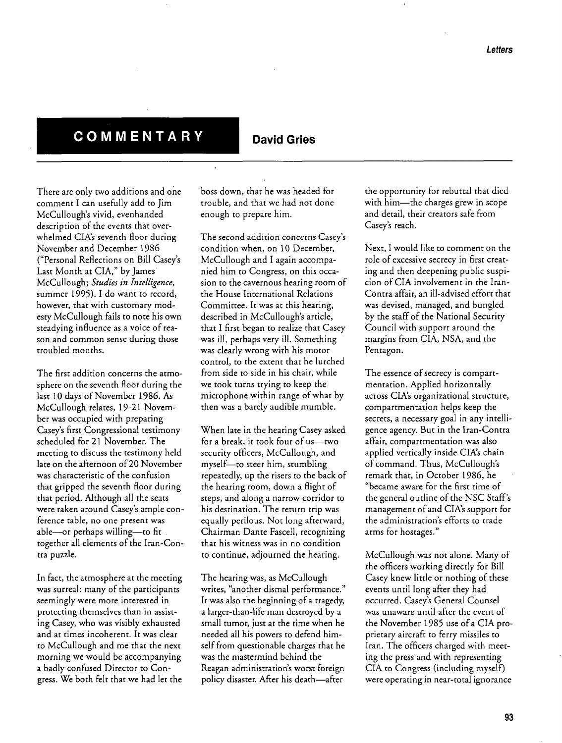## **COMMENTARY David Gries**

**There are only two additions and one comment I can usefully add to Jim McCullough™s vivid, evenhanded description of the events that over**  whelmed CIA's seventh floor during **November and December 1986 (fPersonal Reflections on Bill Casey™s**  Last Month at CIA," by James **McCullough; Studies in Intelligence, summer 1995). I do want to record,**  however, that with customary modesty McCullough fails to note his own **steadying influence as a voice of rea son and common sense during those troubled months.** 

The first addition concerns the atmo**sphere on the seventh floor during the last 10 days of November 1986. As McCullough relates, 19-21 Novem ber was occupied with preparing Casey™s first Congressional testimony scheduled for 21 November. The meeting to discuss the testimony held late on the afternoon of 20 November was characteristic of the confusion that gripped the seventh floor during that period. Although all the seats**  were taken around Casey's ample con**ference table, no one present was** able-or perhaps willing-to fit **together all elements of the Iran-Con tra puzzle.** 

**In fact, the atmosphere at the meeting**  was surreal: many of the participants **seemingly were more interested in protecting themselves than in assist ing Casey, who was visibly exhausted and at times incoherent. It was clear to McCullough and me that the next morning we would be accompanying a badly confused Director to Con We both felt that had let the gress. we**  **boss down, that he was headed for trouble, and that we had not done**  enough to prepare him.

**The second addition concerns Casey™s condition when, on 10 December, McCullough and I again accompa nied him to Congress, on this occa sion to the cavernous hearing room of the House International Relations Committee. It was at this hearing,**  described in McCullough's article, **that I first began to realize that Casey**  was ill, perhaps very ill. Something **was clearly with his wrong motor control, to the extent that he lurched from side to side in his chair, while we took turns trying to keep the**  microphone within range of what by **then was a barely audible mumble.** 

**When late in the hearing Casey asked**   $for a break, it took four of us—two$ **security officers, McCullough, and**  myself-to steer him, stumbling repeatedly, up the risers to the back of **the hearing room, down a flight of and steps, along a narrow corridor to his destination. The return trip was equally perilous. Not long afterward, Chairman Dante Fascell, recognizing that his witness was in no condition to continue, adjourned the hearing.** 

**The hearing was, as McCullough**  writes, "another dismal performance."<br>It was also the beginning of a tragedy, **a larger-than-life man destroyed by a small tumor, just at the time when he needed all his powers to defend him self from questionable charges that he was the mastermind behind the Reagan administration™s worst foreign**  policy disaster. After his death—after

**the opportunity for rebuttal that died**  with him-the charges grew in scope **and detail, their creators safe from**  Casev's reach.

**Next, I would like to comment on the**  role of excessive secrecy in first creating and then deepening public suspi**cion of CIA involvement in the Iran-Contra affair, an ill-advised effort that was devised, managed, and bungled by the staff of the National Security**  Council with support around the **margins from CIA, NSA, and the Pentagon.** 

The essence of secrecy is compart**mentation. Applied horizontally across CIA™S organizational structure, compartmentation helps keep the**  secrets, a necessary goal in any intelli-**But in the Iran-Contra gence agency. affair, compartmentation was also applied vertically inside CIA™s chain of command. Thus, McCullough™s remark that, in October 1986, he fbecame aware for the first time of the general outline of the NSC Staff™s of and CIA™s for management support the administration™s efforts to trade**  arms for hostages."

**McCullough was not alone. Many of the officers working directly for Bill Casey knew little or nothing of these events until long after they had occurred. Casey™s General Counsel was unaware until after the event of the November 1985 use of a CIA pro prietary aircraft to ferry missiles to Iran. The officers charged with meet ing the and with press representing CIA to Congress (including myself) were operating in near-total ignorance**